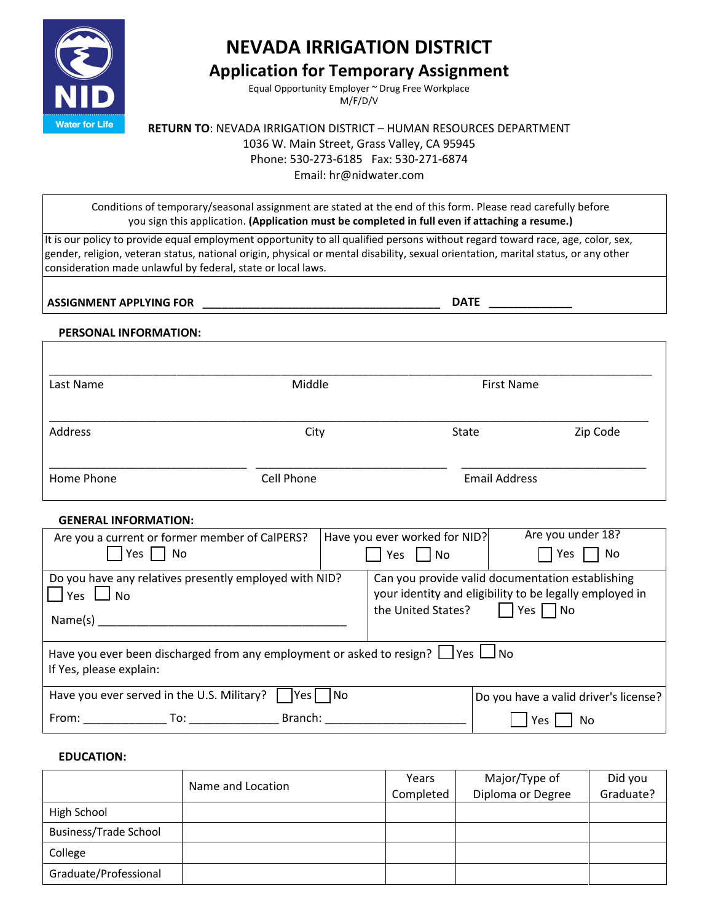

# **NEVADA IRRIGATION DISTRICT**

## **Application for Temporary Assignment**

Equal Opportunity Employer ~ Drug Free Workplace M/F/D/V

**RETURN TO**: NEVADA IRRIGATION DISTRICT – HUMAN RESOURCES DEPARTMENT 1036 W. Main Street, Grass Valley, CA 95945 Phone: 530-273-6185 Fax: 530-271-6874 Email: hr@nidwater.com

Conditions of temporary/seasonal assignment are stated at the end of this form. Please read carefully before you sign this application. **(Application must be completed in full even if attaching a resume.)** 

It is our policy to provide equal employment opportunity to all qualified persons without regard toward race, age, color, sex, gender, religion, veteran status, national origin, physical or mental disability, sexual orientation, marital status, or any other consideration made unlawful by federal, state or local laws.

**ASSIGNMENT APPLYING FOR \_\_\_\_\_\_\_\_\_\_\_\_\_\_\_\_\_\_\_\_\_\_\_\_\_\_\_\_\_\_\_\_\_\_\_\_\_ DATE \_\_\_\_\_\_\_\_\_\_\_\_\_** 

#### **PERSONAL INFORMATION:**

| Last Name  | Middle     | First Name           |          |
|------------|------------|----------------------|----------|
| Address    | City       | <b>State</b>         | Zip Code |
| Home Phone | Cell Phone | <b>Email Address</b> |          |

#### **GENERAL INFORMATION:**

| Are you a current or former member of CalPERS?<br>$Yes \Box No$                                                       |  | Have you ever worked for NID?<br>Yes $ $ $ $ No                                                                                                           | Are you under 18?<br>Yes<br>No        |
|-----------------------------------------------------------------------------------------------------------------------|--|-----------------------------------------------------------------------------------------------------------------------------------------------------------|---------------------------------------|
| Do you have any relatives presently employed with NID?<br>$\Box$ Yes $\Box$ No<br>Name(s)                             |  | Can you provide valid documentation establishing<br>your identity and eligibility to be legally employed in<br>$\Box$ Yes $\Box$ No<br>the United States? |                                       |
| Have you ever been discharged from any employment or asked to resign? $\Box$ Yes $\Box$ No<br>If Yes, please explain: |  |                                                                                                                                                           |                                       |
| Have you ever served in the U.S. Military?    Yes   No                                                                |  |                                                                                                                                                           | Do you have a valid driver's license? |
| Branch:<br>From:<br>$\Gamma$ . To:                                                                                    |  |                                                                                                                                                           | Yes.<br>No                            |

#### **EDUCATION:**

|                       | Name and Location | Years<br>Completed | Major/Type of<br>Diploma or Degree | Did you<br>Graduate? |
|-----------------------|-------------------|--------------------|------------------------------------|----------------------|
| High School           |                   |                    |                                    |                      |
| Business/Trade School |                   |                    |                                    |                      |
| College               |                   |                    |                                    |                      |
| Graduate/Professional |                   |                    |                                    |                      |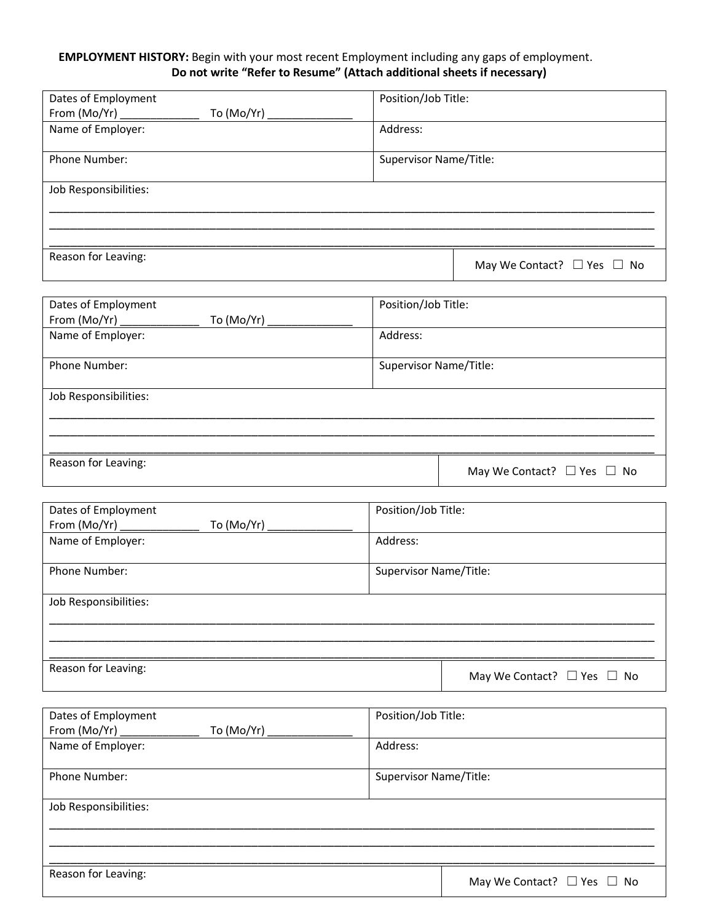### **EMPLOYMENT HISTORY:** Begin with your most recent Employment including any gaps of employment. **Do not write "Refer to Resume" (Attach additional sheets if necessary)**

| Position/Job Title:                  |
|--------------------------------------|
|                                      |
| Address:                             |
|                                      |
| Supervisor Name/Title:               |
|                                      |
|                                      |
|                                      |
|                                      |
|                                      |
| May We Contact? $\Box$ Yes $\Box$ No |
|                                      |

| Dates of Employment   | Position/Job Title:                  |
|-----------------------|--------------------------------------|
| To (Mo/Yr) $\_\_$     |                                      |
| Name of Employer:     | Address:                             |
| <b>Phone Number:</b>  | Supervisor Name/Title:               |
| Job Responsibilities: |                                      |
|                       |                                      |
| Reason for Leaving:   | May We Contact? $\Box$ Yes $\Box$ No |

| Dates of Employment   | Position/Job Title:                  |  |
|-----------------------|--------------------------------------|--|
|                       |                                      |  |
| Name of Employer:     | Address:                             |  |
|                       |                                      |  |
| Phone Number:         | Supervisor Name/Title:               |  |
|                       |                                      |  |
| Job Responsibilities: |                                      |  |
|                       |                                      |  |
|                       |                                      |  |
|                       |                                      |  |
| Reason for Leaving:   | May We Contact? $\Box$ Yes $\Box$ No |  |

| Dates of Employment   | Position/Job Title:                  |
|-----------------------|--------------------------------------|
| To (Mo/Yr) $_{-}$     |                                      |
| Name of Employer:     | Address:                             |
| Phone Number:         | Supervisor Name/Title:               |
| Job Responsibilities: |                                      |
|                       |                                      |
| Reason for Leaving:   | May We Contact? $\Box$ Yes $\Box$ No |